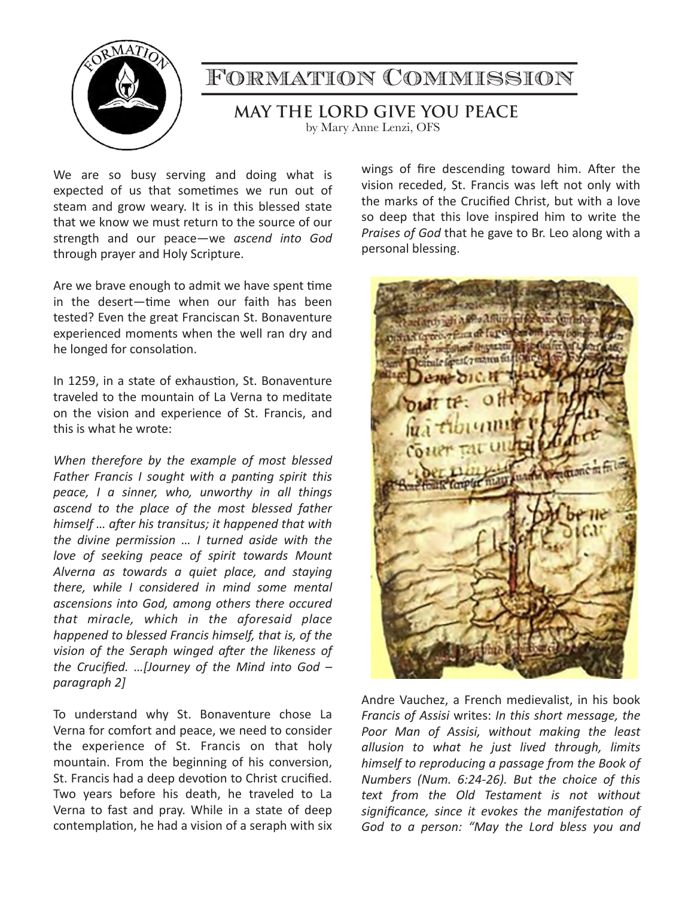

## Formation Commission

**MAY THE LORD GIVE YOU PEACE** 

by Mary Anne Lenzi, OFS

We are so busy serving and doing what is expected of us that sometimes we run out of steam and grow weary. It is in this blessed state that we know we must return to the source of our strength and our peace—we *ascend into God* through prayer and Holy Scripture.

Are we brave enough to admit we have spent time in the desert—time when our faith has been tested? Even the great Franciscan St. Bonaventure experienced moments when the well ran dry and he longed for consolation.

In 1259, in a state of exhaustion, St. Bonaventure traveled to the mountain of La Verna to meditate on the vision and experience of St. Francis, and this is what he wrote:

When therefore by the example of most blessed Father Francis I sought with a panting spirit this *peace, I a sinner, who, unworthy in all things* ascend to the place of the most blessed father *himself ... after his transitus; it happened that with the divine permission ... I turned aside with the* love of seeking peace of spirit towards Mount *Alverna as towards a quiet place, and staying*  there, while I considered in mind some mental *ascensions into God, among others there occured that miracle, which in the aforesaid place happened to blessed Francis himself, that is, of the* vision of the Seraph winged after the likeness of *the Crucified. ...[Journey of the Mind into God paragraph 2]* 

To understand why St. Bonaventure chose La Verna for comfort and peace, we need to consider the experience of St. Francis on that holy mountain. From the beginning of his conversion, St. Francis had a deep devotion to Christ crucified. Two years before his death, he traveled to La Verna to fast and pray. While in a state of deep contemplation, he had a vision of a seraph with six wings of fire descending toward him. After the vision receded, St. Francis was left not only with the marks of the Crucified Christ, but with a love so deep that this love inspired him to write the *Praises of God* that he gave to Br. Leo along with a personal blessing.

Andre Vauchez, a French medievalist, in his book *Francis of Assisi* writes: *In this short message, the* Poor Man of Assisi, without making the least *allusion to what he just lived through, limits*  himself to reproducing a passage from the Book of *Numbers* (Num. 6:24-26). But the choice of this text from the Old Testament is not without significance, since it evokes the manifestation of God to a person: "May the Lord bless you and